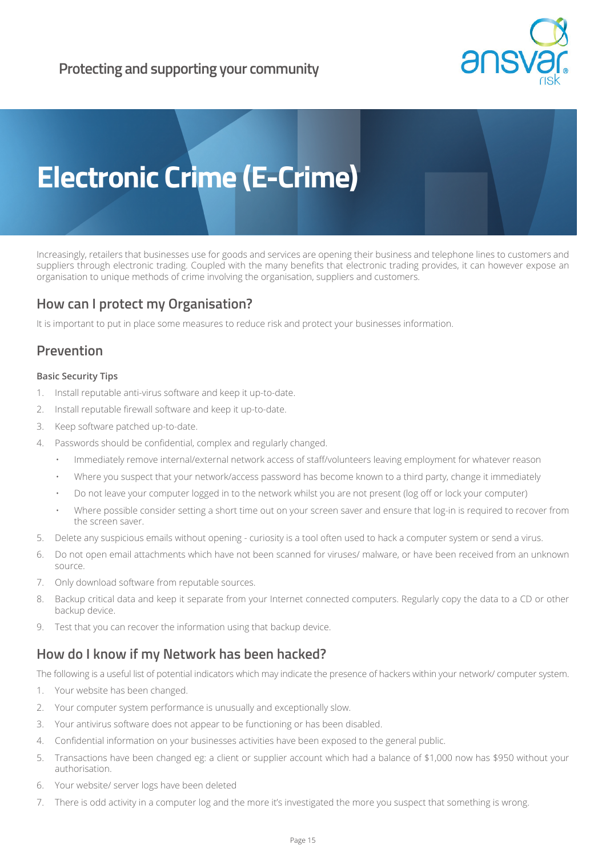

# **Electronic Crime (E-Crime)**

Increasingly, retailers that businesses use for goods and services are opening their business and telephone lines to customers and suppliers through electronic trading. Coupled with the many benefits that electronic trading provides, it can however expose an organisation to unique methods of crime involving the organisation, suppliers and customers.

## **How can I protect my Organisation?**

It is important to put in place some measures to reduce risk and protect your businesses information.

## **Prevention**

### **Basic Security Tips**

- 1. Install reputable anti-virus software and keep it up-to-date.
- 2. Install reputable firewall software and keep it up-to-date.
- 3. Keep software patched up-to-date.
- 4. Passwords should be confidential, complex and regularly changed.
	- Immediately remove internal/external network access of staff/volunteers leaving employment for whatever reason
	- Where you suspect that your network/access password has become known to a third party, change it immediately
	- Do not leave your computer logged in to the network whilst you are not present (log off or lock your computer)
	- Where possible consider setting a short time out on your screen saver and ensure that log-in is required to recover from the screen saver.
- 5. Delete any suspicious emails without opening curiosity is a tool often used to hack a computer system or send a virus.
- 6. Do not open email attachments which have not been scanned for viruses/ malware, or have been received from an unknown source.
- 7. Only download software from reputable sources.
- 8. Backup critical data and keep it separate from your Internet connected computers. Regularly copy the data to a CD or other backup device.
- 9. Test that you can recover the information using that backup device.

## **How do I know if my Network has been hacked?**

The following is a useful list of potential indicators which may indicate the presence of hackers within your network/ computer system.

- 1. Your website has been changed.
- 2. Your computer system performance is unusually and exceptionally slow.
- 3. Your antivirus software does not appear to be functioning or has been disabled.
- 4. Confidential information on your businesses activities have been exposed to the general public.
- 5. Transactions have been changed eg: a client or supplier account which had a balance of \$1,000 now has \$950 without your authorisation.
- 6. Your website/ server logs have been deleted
- 7. There is odd activity in a computer log and the more it's investigated the more you suspect that something is wrong.